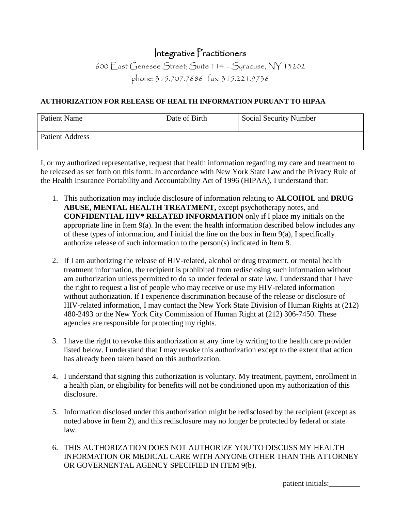## Integrative Practitioners

600 East Genesee Street; Suite 114 – Syracuse, NY 13202 phone: 315.707.7686 fax: 315.221.9736

## **AUTHORIZATION FOR RELEASE OF HEALTH INFORMATION PURUANT TO HIPAA**

| <b>Patient Name</b> | Date of Birth | <b>Social Security Number</b> |
|---------------------|---------------|-------------------------------|
| Patient Address     |               |                               |

I, or my authorized representative, request that health information regarding my care and treatment to be released as set forth on this form: In accordance with New York State Law and the Privacy Rule of the Health Insurance Portability and Accountability Act of 1996 (HIPAA), I understand that:

- 1. This authorization may include disclosure of information relating to **ALCOHOL** and **DRUG ABUSE, MENTAL HEALTH TREATMENT,** except psychotherapy notes, and **CONFIDENTIAL HIV\* RELATED INFORMATION** only if I place my initials on the appropriate line in Item 9(a). In the event the health information described below includes any of these types of information, and I initial the line on the box in Item 9(a), I specifically authorize release of such information to the person(s) indicated in Item 8.
- 2. If I am authorizing the release of HIV-related, alcohol or drug treatment, or mental health treatment information, the recipient is prohibited from redisclosing such information without am authorization unless permitted to do so under federal or state law. I understand that I have the right to request a list of people who may receive or use my HIV-related information without authorization. If I experience discrimination because of the release or disclosure of HIV-related information, I may contact the New York State Division of Human Rights at (212) 480-2493 or the New York City Commission of Human Right at (212) 306-7450. These agencies are responsible for protecting my rights.
- 3. I have the right to revoke this authorization at any time by writing to the health care provider listed below. I understand that I may revoke this authorization except to the extent that action has already been taken based on this authorization.
- 4. I understand that signing this authorization is voluntary. My treatment, payment, enrollment in a health plan, or eligibility for benefits will not be conditioned upon my authorization of this disclosure.
- 5. Information disclosed under this authorization might be redisclosed by the recipient (except as noted above in Item 2), and this redisclosure may no longer be protected by federal or state law.
- 6. THIS AUTHORIZATION DOES NOT AUTHORIZE YOU TO DISCUSS MY HEALTH INFORMATION OR MEDICAL CARE WITH ANYONE OTHER THAN THE ATTORNEY OR GOVERNENTAL AGENCY SPECIFIED IN ITEM 9(b).

patient initials:\_\_\_\_\_\_\_\_